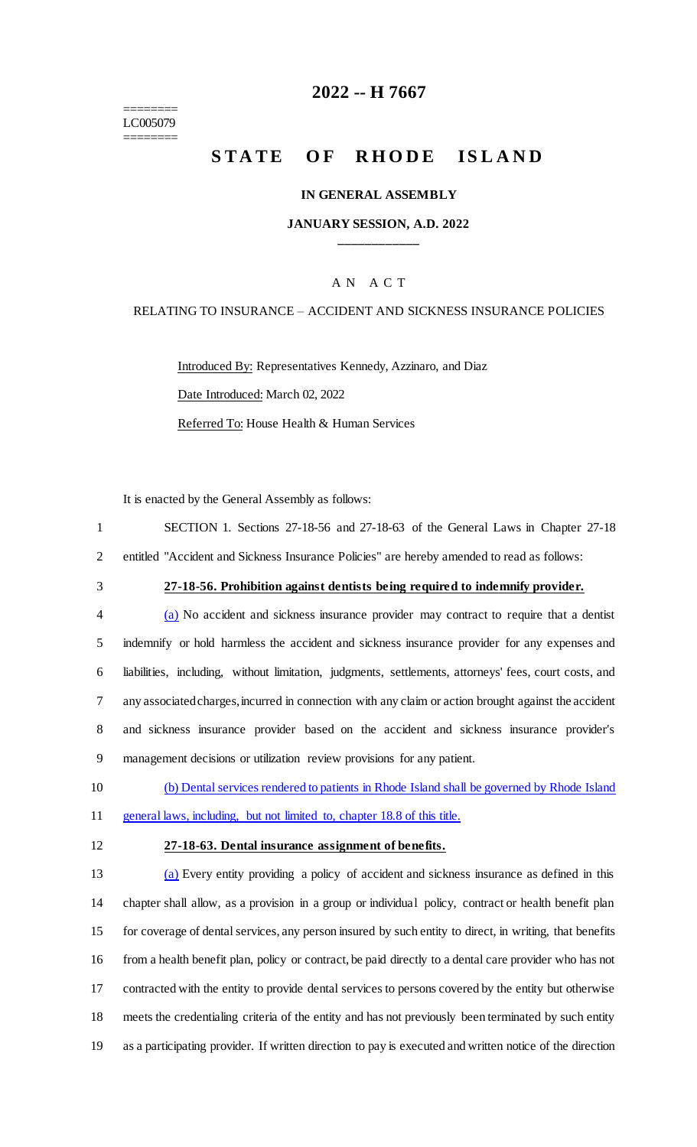======== LC005079 ========

## **2022 -- H 7667**

# **STATE OF RHODE ISLAND**

#### **IN GENERAL ASSEMBLY**

#### **JANUARY SESSION, A.D. 2022 \_\_\_\_\_\_\_\_\_\_\_\_**

#### A N A C T

#### RELATING TO INSURANCE – ACCIDENT AND SICKNESS INSURANCE POLICIES

Introduced By: Representatives Kennedy, Azzinaro, and Diaz Date Introduced: March 02, 2022 Referred To: House Health & Human Services

It is enacted by the General Assembly as follows:

1 SECTION 1. Sections 27-18-56 and 27-18-63 of the General Laws in Chapter 27-18 2 entitled "Accident and Sickness Insurance Policies" are hereby amended to read as follows:

#### 3 **27-18-56. Prohibition against dentists being required to indemnify provider.**

 (a) No accident and sickness insurance provider may contract to require that a dentist indemnify or hold harmless the accident and sickness insurance provider for any expenses and liabilities, including, without limitation, judgments, settlements, attorneys' fees, court costs, and any associated charges, incurred in connection with any claim or action brought against the accident and sickness insurance provider based on the accident and sickness insurance provider's management decisions or utilization review provisions for any patient.

10 (b) Dental services rendered to patients in Rhode Island shall be governed by Rhode Island 11 general laws, including, but not limited to, chapter 18.8 of this title.

#### 12 **27-18-63. Dental insurance assignment of benefits.**

 (a) Every entity providing a policy of accident and sickness insurance as defined in this chapter shall allow, as a provision in a group or individual policy, contract or health benefit plan for coverage of dental services, any person insured by such entity to direct, in writing, that benefits from a health benefit plan, policy or contract, be paid directly to a dental care provider who has not contracted with the entity to provide dental services to persons covered by the entity but otherwise meets the credentialing criteria of the entity and has not previously been terminated by such entity as a participating provider. If written direction to pay is executed and written notice of the direction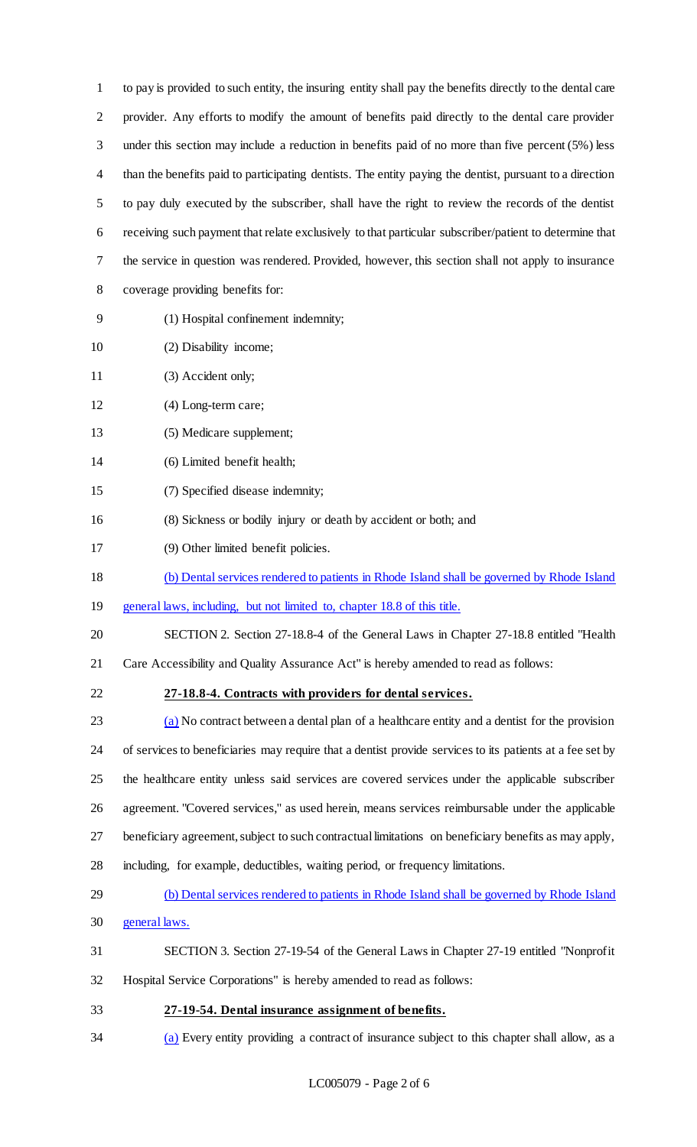to pay is provided to such entity, the insuring entity shall pay the benefits directly to the dental care provider. Any efforts to modify the amount of benefits paid directly to the dental care provider under this section may include a reduction in benefits paid of no more than five percent (5%) less than the benefits paid to participating dentists. The entity paying the dentist, pursuant to a direction to pay duly executed by the subscriber, shall have the right to review the records of the dentist receiving such payment that relate exclusively to that particular subscriber/patient to determine that the service in question was rendered. Provided, however, this section shall not apply to insurance coverage providing benefits for:

- (1) Hospital confinement indemnity;
- 10 (2) Disability income;
- 11 (3) Accident only;
- (4) Long-term care;
- (5) Medicare supplement;
- (6) Limited benefit health;
- (7) Specified disease indemnity;
- (8) Sickness or bodily injury or death by accident or both; and
- (9) Other limited benefit policies.
- (b) Dental services rendered to patients in Rhode Island shall be governed by Rhode Island
- general laws, including, but not limited to, chapter 18.8 of this title.
- SECTION 2. Section 27-18.8-4 of the General Laws in Chapter 27-18.8 entitled "Health
- Care Accessibility and Quality Assurance Act" is hereby amended to read as follows:
- **27-18.8-4. Contracts with providers for dental services.**

23 (a) No contract between a dental plan of a healthcare entity and a dentist for the provision of services to beneficiaries may require that a dentist provide services to its patients at a fee set by the healthcare entity unless said services are covered services under the applicable subscriber agreement. "Covered services," as used herein, means services reimbursable under the applicable beneficiary agreement, subject to such contractual limitations on beneficiary benefits as may apply, including, for example, deductibles, waiting period, or frequency limitations.

- (b) Dental services rendered to patients in Rhode Island shall be governed by Rhode Island
- general laws.
- SECTION 3. Section 27-19-54 of the General Laws in Chapter 27-19 entitled "Nonprofit
- Hospital Service Corporations" is hereby amended to read as follows:
- **27-19-54. Dental insurance assignment of benefits.**
- (a) Every entity providing a contract of insurance subject to this chapter shall allow, as a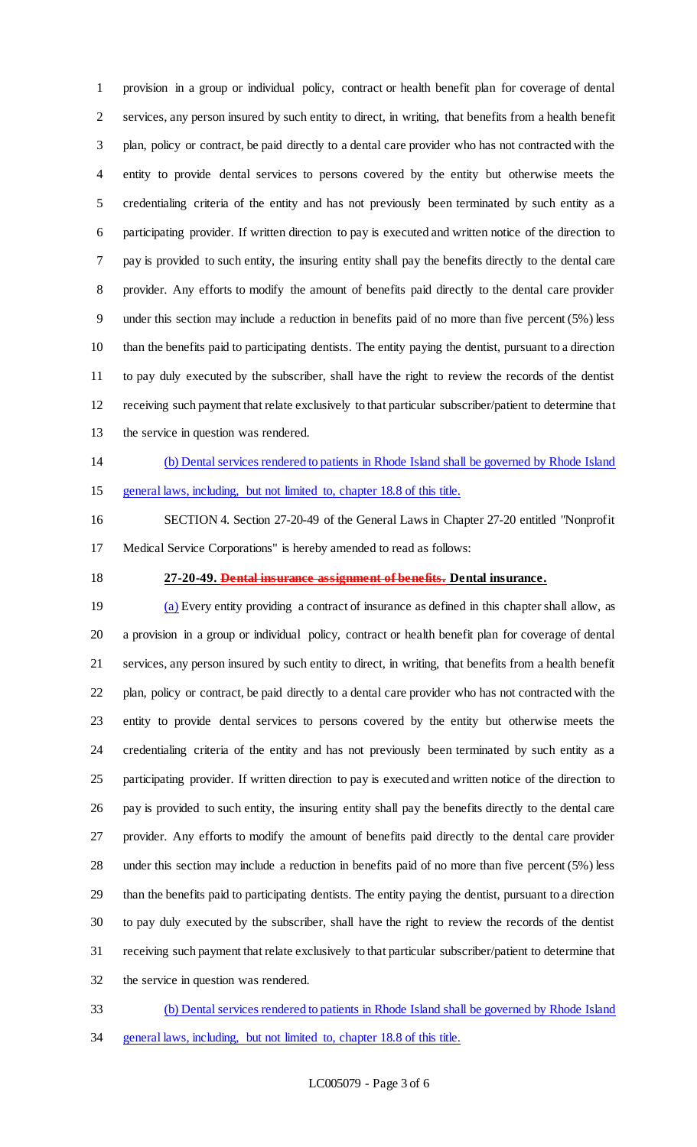provision in a group or individual policy, contract or health benefit plan for coverage of dental services, any person insured by such entity to direct, in writing, that benefits from a health benefit plan, policy or contract, be paid directly to a dental care provider who has not contracted with the entity to provide dental services to persons covered by the entity but otherwise meets the credentialing criteria of the entity and has not previously been terminated by such entity as a participating provider. If written direction to pay is executed and written notice of the direction to pay is provided to such entity, the insuring entity shall pay the benefits directly to the dental care provider. Any efforts to modify the amount of benefits paid directly to the dental care provider under this section may include a reduction in benefits paid of no more than five percent (5%) less than the benefits paid to participating dentists. The entity paying the dentist, pursuant to a direction to pay duly executed by the subscriber, shall have the right to review the records of the dentist receiving such payment that relate exclusively to that particular subscriber/patient to determine that the service in question was rendered.

# (b) Dental services rendered to patients in Rhode Island shall be governed by Rhode Island

general laws, including, but not limited to, chapter 18.8 of this title.

 SECTION 4. Section 27-20-49 of the General Laws in Chapter 27-20 entitled "Nonprofit Medical Service Corporations" is hereby amended to read as follows:

#### **27-20-49. Dental insurance assignment of benefits. Dental insurance.**

 (a) Every entity providing a contract of insurance as defined in this chapter shall allow, as a provision in a group or individual policy, contract or health benefit plan for coverage of dental services, any person insured by such entity to direct, in writing, that benefits from a health benefit plan, policy or contract, be paid directly to a dental care provider who has not contracted with the entity to provide dental services to persons covered by the entity but otherwise meets the credentialing criteria of the entity and has not previously been terminated by such entity as a participating provider. If written direction to pay is executed and written notice of the direction to pay is provided to such entity, the insuring entity shall pay the benefits directly to the dental care provider. Any efforts to modify the amount of benefits paid directly to the dental care provider under this section may include a reduction in benefits paid of no more than five percent (5%) less than the benefits paid to participating dentists. The entity paying the dentist, pursuant to a direction to pay duly executed by the subscriber, shall have the right to review the records of the dentist receiving such payment that relate exclusively to that particular subscriber/patient to determine that the service in question was rendered.

- (b) Dental services rendered to patients in Rhode Island shall be governed by Rhode Island
- general laws, including, but not limited to, chapter 18.8 of this title.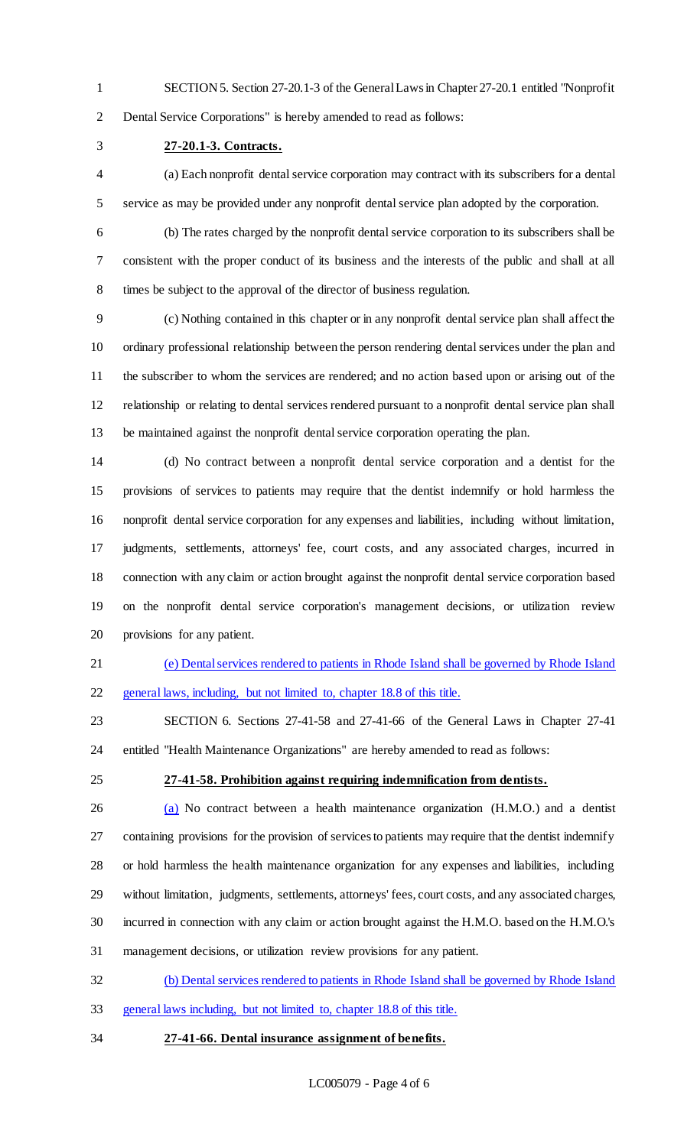SECTION 5. Section 27-20.1-3 of the General Laws in Chapter 27-20.1 entitled "Nonprofit Dental Service Corporations" is hereby amended to read as follows:

**27-20.1-3. Contracts.**

 (a) Each nonprofit dental service corporation may contract with its subscribers for a dental service as may be provided under any nonprofit dental service plan adopted by the corporation.

 (b) The rates charged by the nonprofit dental service corporation to its subscribers shall be consistent with the proper conduct of its business and the interests of the public and shall at all times be subject to the approval of the director of business regulation.

 (c) Nothing contained in this chapter or in any nonprofit dental service plan shall affect the ordinary professional relationship between the person rendering dental services under the plan and the subscriber to whom the services are rendered; and no action based upon or arising out of the relationship or relating to dental services rendered pursuant to a nonprofit dental service plan shall be maintained against the nonprofit dental service corporation operating the plan.

 (d) No contract between a nonprofit dental service corporation and a dentist for the provisions of services to patients may require that the dentist indemnify or hold harmless the nonprofit dental service corporation for any expenses and liabilities, including without limitation, judgments, settlements, attorneys' fee, court costs, and any associated charges, incurred in connection with any claim or action brought against the nonprofit dental service corporation based on the nonprofit dental service corporation's management decisions, or utilization review provisions for any patient.

 (e) Dental services rendered to patients in Rhode Island shall be governed by Rhode Island general laws, including, but not limited to, chapter 18.8 of this title.

 SECTION 6. Sections 27-41-58 and 27-41-66 of the General Laws in Chapter 27-41 entitled "Health Maintenance Organizations" are hereby amended to read as follows:

#### **27-41-58. Prohibition against requiring indemnification from dentists.**

 (a) No contract between a health maintenance organization (H.M.O.) and a dentist containing provisions for the provision of services to patients may require that the dentist indemnify or hold harmless the health maintenance organization for any expenses and liabilities, including without limitation, judgments, settlements, attorneys' fees, court costs, and any associated charges, incurred in connection with any claim or action brought against the H.M.O. based on the H.M.O.'s management decisions, or utilization review provisions for any patient.

(b) Dental services rendered to patients in Rhode Island shall be governed by Rhode Island

- general laws including, but not limited to, chapter 18.8 of this title.
- **27-41-66. Dental insurance assignment of benefits.**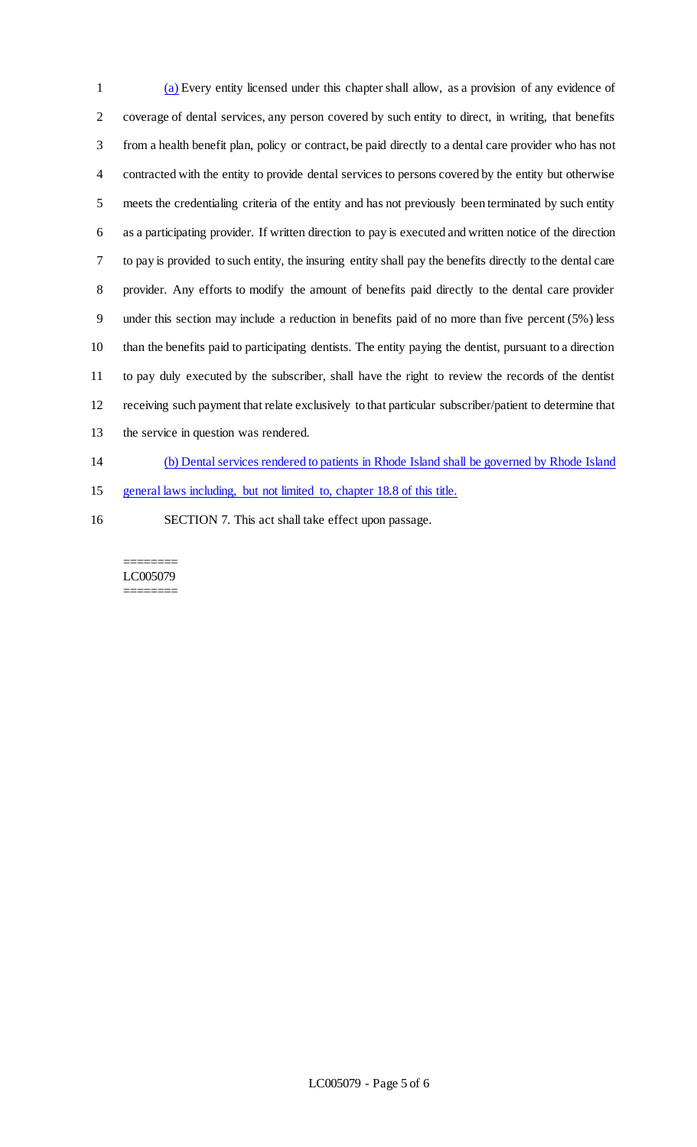(a) Every entity licensed under this chapter shall allow, as a provision of any evidence of coverage of dental services, any person covered by such entity to direct, in writing, that benefits from a health benefit plan, policy or contract, be paid directly to a dental care provider who has not contracted with the entity to provide dental services to persons covered by the entity but otherwise meets the credentialing criteria of the entity and has not previously been terminated by such entity as a participating provider. If written direction to pay is executed and written notice of the direction to pay is provided to such entity, the insuring entity shall pay the benefits directly to the dental care provider. Any efforts to modify the amount of benefits paid directly to the dental care provider under this section may include a reduction in benefits paid of no more than five percent (5%) less than the benefits paid to participating dentists. The entity paying the dentist, pursuant to a direction to pay duly executed by the subscriber, shall have the right to review the records of the dentist receiving such payment that relate exclusively to that particular subscriber/patient to determine that the service in question was rendered. (b) Dental services rendered to patients in Rhode Island shall be governed by Rhode Island

general laws including, but not limited to, chapter 18.8 of this title.

SECTION 7. This act shall take effect upon passage.

======== LC005079 ========